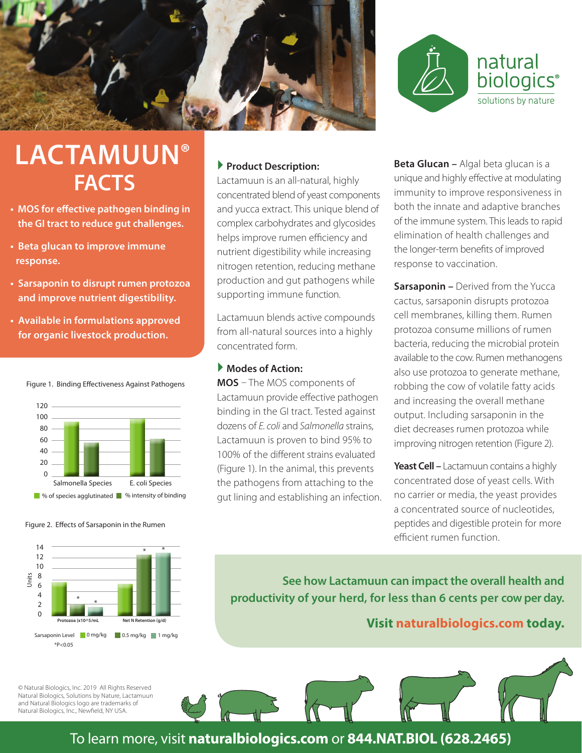



# **LACTAMUUN® FACTS**

- **MOS for effective pathogen binding in the GI tract to reduce gut challenges.**
- **Beta glucan to improve immune response.**
- **Sarsaponin to disrupt rumen protozoa and improve nutrient digestibility.**
- **Available in formulations approved for organic livestock production.**



Figure 1. Binding Effectiveness Against Pathogens

#### Figure 2. Effects of Sarsaponin in the Rumen



#### © Natural Biologics, Inc. 2019 All Rights Reserved Natural Biologics, Solutions by Nature, Lactamuun and Natural Biologics logo are trademarks of Natural Biologics, Inc., Newfield, NY USA.

#### **Product Description:**

Lactamuun is an all-natural, highly concentrated blend of yeast components and yucca extract. This unique blend of complex carbohydrates and glycosides helps improve rumen efficiency and nutrient digestibility while increasing nitrogen retention, reducing methane production and gut pathogens while supporting immune function.

Lactamuun blends active compounds from all-natural sources into a highly concentrated form.

#### **Modes of Action:**

**MOS** – The MOS components of Lactamuun provide effective pathogen binding in the GI tract. Tested against dozens of *E. coli* and *Salmonella* strains, Lactamuun is proven to bind 95% to 100% of the different strains evaluated (Figure 1). In the animal, this prevents the pathogens from attaching to the gut lining and establishing an infection. **Beta Glucan –** Algal beta glucan is a unique and highly effective at modulating immunity to improve responsiveness in both the innate and adaptive branches of the immune system. This leads to rapid elimination of health challenges and the longer-term benefits of improved response to vaccination.

**Sarsaponin –** Derived from the Yucca cactus, sarsaponin disrupts protozoa cell membranes, killing them. Rumen protozoa consume millions of rumen bacteria, reducing the microbial protein available to the cow. Rumen methanogens also use protozoa to generate methane, robbing the cow of volatile fatty acids and increasing the overall methane output. Including sarsaponin in the diet decreases rumen protozoa while improving nitrogen retention (Figure 2).

**Yeast Cell –** Lactamuun contains a highly concentrated dose of yeast cells. With no carrier or media, the yeast provides a concentrated source of nucleotides, peptides and digestible protein for more efficient rumen function.

**See how Lactamuun can impact the overall health and productivity of your herd, for less than 6 cents per cow per day.** 

**Visit naturalbiologics.com today.**